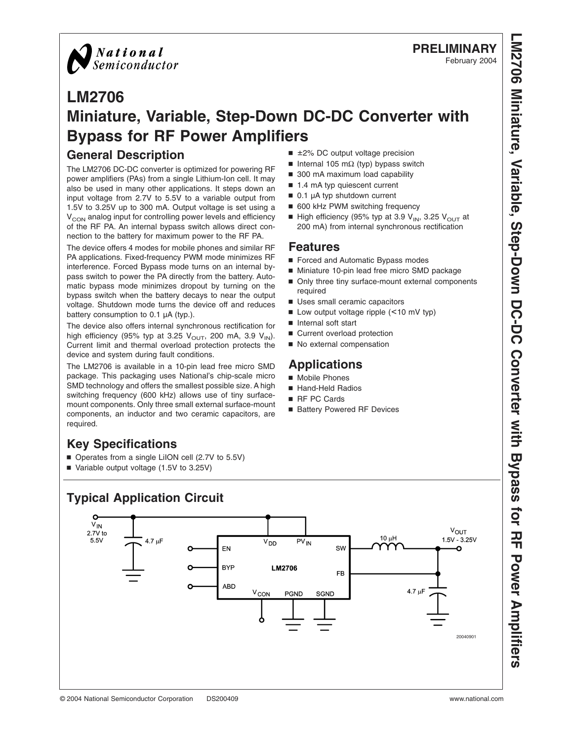

# **PRELIMINARY**

February 2004

# **LM2706 Miniature, Variable, Step-Down DC-DC Converter with Bypass for RF Power Amplifiers**

### **General Description**

The LM2706 DC-DC converter is optimized for powering RF power amplifiers (PAs) from a single Lithium-Ion cell. It may also be used in many other applications. It steps down an input voltage from 2.7V to 5.5V to a variable output from 1.5V to 3.25V up to 300 mA. Output voltage is set using a  $V<sub>CON</sub>$  analog input for controlling power levels and efficiency of the RF PA. An internal bypass switch allows direct connection to the battery for maximum power to the RF PA.

The device offers 4 modes for mobile phones and similar RF PA applications. Fixed-frequency PWM mode minimizes RF interference. Forced Bypass mode turns on an internal bypass switch to power the PA directly from the battery. Automatic bypass mode minimizes dropout by turning on the bypass switch when the battery decays to near the output voltage. Shutdown mode turns the device off and reduces battery consumption to 0.1 µA (typ.).

The device also offers internal synchronous rectification for high efficiency (95% typ at 3.25  $V<sub>OUT</sub>$ , 200 mA, 3.9  $V<sub>IN</sub>$ ). Current limit and thermal overload protection protects the device and system during fault conditions.

The LM2706 is available in a 10-pin lead free micro SMD package. This packaging uses National's chip-scale micro SMD technology and offers the smallest possible size. A high switching frequency (600 kHz) allows use of tiny surfacemount components. Only three small external surface-mount components, an inductor and two ceramic capacitors, are required.

# **Key Specifications**

- Operates from a single LiION cell (2.7V to 5.5V)
- Variable output voltage (1.5V to 3.25V)

# **Typical Application Circuit**

O  $V_{IN}$  $V_{OUT}$ 2.7V to  $10 \mu H$  $1.5V - 3.25V$  $5.5V$  $PV_{IN}$ 4.7 uF  $V_{DD}$ EN SW Ō **BYP** LM2706 **FB ABD**  $4.7 \mu F$ VCON PGND SGND 20040901

- $\blacksquare$  ±2% DC output voltage precision
- Internal 105 mΩ (typ) bypass switch
- 300 mA maximum load capability
- 1.4 mA typ quiescent current
- $\blacksquare$  0.1 µA typ shutdown current
- 600 kHz PWM switching frequency
- High efficiency (95% typ at 3.9  $V_{IN}$ , 3.25  $V_{OUT}$  at 200 mA) from internal synchronous rectification

#### **Features**

- Forced and Automatic Bypass modes
- Miniature 10-pin lead free micro SMD package
- Only three tiny surface-mount external components required
- Uses small ceramic capacitors
- Low output voltage ripple (<10 mV typ)
- Internal soft start
- Current overload protection
- No external compensation

## **Applications**

- Mobile Phones
- Hand-Held Radios
- RF PC Cards
- Battery Powered RF Devices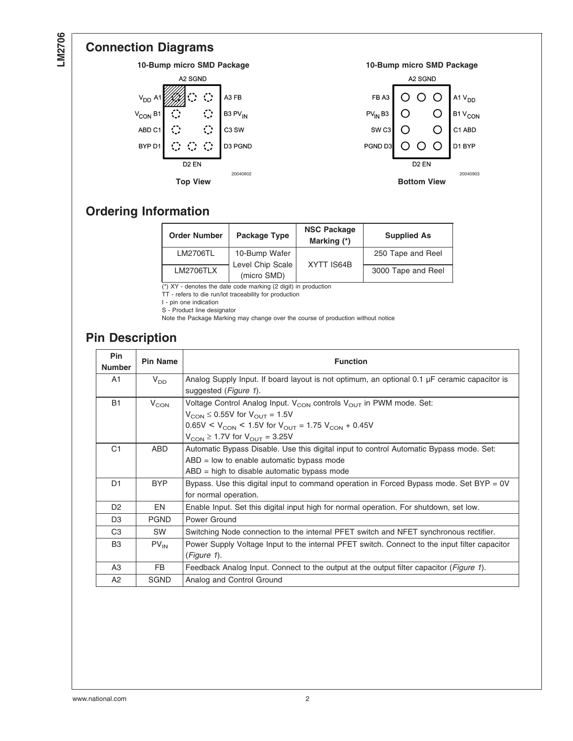# **Connection Diagrams**



# **Ordering Information**

| <b>Order Number</b> | Package Type                    | <b>NSC Package</b><br>Marking (*) | <b>Supplied As</b> |
|---------------------|---------------------------------|-----------------------------------|--------------------|
| LM2706TL            | 10-Bump Wafer                   |                                   | 250 Tape and Reel  |
| <b>LM2706TLX</b>    | Level Chip Scale<br>(micro SMD) | XYTT IS64B                        | 3000 Tape and Reel |

 $(*)$  XY - denotes the date code marking (2 digit) in production

TT - refers to die run/lot traceability for production

I - pin one indication

S - Product line designator

Note the Package Marking may change over the course of production without notice

### **Pin Description**

| Pin<br><b>Number</b> | Pin Name         | <b>Function</b>                                                                               |
|----------------------|------------------|-----------------------------------------------------------------------------------------------|
| A1                   | $V_{DD}$         | Analog Supply Input. If board layout is not optimum, an optional 0.1 µF ceramic capacitor is  |
|                      |                  | suggested ( <i>Figure 1</i> ).                                                                |
| <b>B1</b>            | $V_{\text{CON}}$ | Voltage Control Analog Input. V <sub>CON</sub> controls V <sub>OUT</sub> in PWM mode. Set:    |
|                      |                  | $V_{\text{CON}}$ $\leq$ 0.55V for $V_{\text{OUT}}$ = 1.5V                                     |
|                      |                  | $0.65V < V_{\text{CON}}$ < 1.5V for $V_{\text{OUT}}$ = 1.75 $V_{\text{CON}}$ + 0.45V          |
|                      |                  | $V_{\text{CON}} \geq 1.7V$ for $V_{\text{OUT}} = 3.25V$                                       |
| C <sub>1</sub>       | ABD              | Automatic Bypass Disable. Use this digital input to control Automatic Bypass mode. Set:       |
|                      |                  | $ABD = low$ to enable automatic bypass mode                                                   |
|                      |                  | $ABD = high$ to disable automatic bypass mode                                                 |
| D1                   | <b>BYP</b>       | Bypass. Use this digital input to command operation in Forced Bypass mode. Set BYP = 0V       |
|                      |                  | for normal operation.                                                                         |
| D <sub>2</sub>       | EN               | Enable Input. Set this digital input high for normal operation. For shutdown, set low.        |
| D <sub>3</sub>       | <b>PGND</b>      | Power Ground                                                                                  |
| C <sub>3</sub>       | <b>SW</b>        | Switching Node connection to the internal PFET switch and NFET synchronous rectifier.         |
| B3                   | $PV_{IN}$        | Power Supply Voltage Input to the internal PFET switch. Connect to the input filter capacitor |
|                      |                  | $(Figure 1)$ .                                                                                |
| A3                   | FB.              | Feedback Analog Input. Connect to the output at the output filter capacitor (Figure 1).       |
| A2                   | <b>SGND</b>      | Analog and Control Ground                                                                     |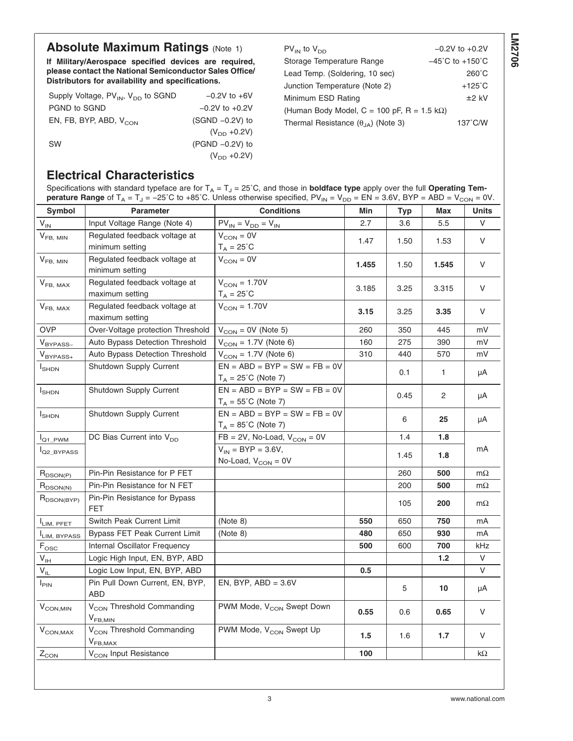# **Absolute Maximum Ratings [\(Note 1\)](#page-3-0)**

**If Military/Aerospace specified devices are required, please contact the National Semiconductor Sales Office/ Distributors for availability and specifications.**

| Supply Voltage, PV <sub>IN</sub> , V <sub>DD</sub> to SGND | $-0.2V$ to $+6V$   |
|------------------------------------------------------------|--------------------|
| PGND to SGND                                               | $-0.2V$ to $+0.2V$ |
| EN, FB, BYP, ABD, $V_{\rm CON}$                            | $(SGND -0.2V)$ to  |
|                                                            | $(V_{DD} + 0.2V)$  |
| <b>SW</b>                                                  | $(PGND -0.2V)$ to  |
|                                                            | $(V_{DD} + 0.2V)$  |

 $PV_{IN}$  to  $V_{DD}$   $-0.2V$  to +0.2V Storage Temperature Range −45˚C to +150˚C Lead Temp. (Soldering, 10 sec) 260°C Junction Temperature [\(Note 2\)](#page-3-0) +125°C Minimum ESD Rating  $\pm 2$  kV (Human Body Model, C = 100 pF, R = 1.5 k $\Omega$ ) Thermal Resistance  $(\theta_{JA})$  [\(Note 3\)](#page-3-0) 137°C/W

#### **Electrical Characteristics**

| <b>Conditions</b><br>Symbol<br><b>Parameter</b><br>Min<br><b>Units</b><br>Typ<br>Max<br>$\rm V_{\rm IN}$<br>$PV_{IN} = V_{DD} = V_{IN}$<br>Input Voltage Range (Note 4)<br>V<br>2.7<br>3.6<br>5.5<br>Regulated feedback voltage at<br>$V_{CON} = 0V$<br>$V_{FB, MIN}$<br>V<br>1.47<br>1.50<br>1.53<br>minimum setting<br>$T_A = 25^{\circ}C$<br>Regulated feedback voltage at<br>$V_{CON} = 0V$<br>$V_{FB, MIN}$<br>V<br>1.455<br>1.50<br>1.545<br>minimum setting<br>$V_{\text{CON}} = 1.70V$<br>Regulated feedback voltage at<br>$V_{FB, MAX}$<br>V<br>3.185<br>3.25<br>3.315<br>$T_A = 25^{\circ}C$<br>maximum setting<br>Regulated feedback voltage at<br>$V_{\text{CON}} = 1.70V$<br>$V_{FB, MAX}$<br>V<br>3.15<br>3.25<br>3.35<br>maximum setting<br><b>OVP</b><br>Over-Voltage protection Threshold<br>$V_{CON} = 0V$ (Note 5)<br>260<br>350<br>445<br>mV<br>Auto Bypass Detection Threshold<br>$V_{CON} = 1.7V$ (Note 6)<br>160<br>275<br>390<br>mV<br>$V_{BYPASS-}$<br>Auto Bypass Detection Threshold<br>440<br>$V_{CON} = 1.7V$ (Note 6)<br>310<br>570<br>mV<br>$V_{BYPASS+}$<br>$EN = ABD = BYP = SW = FB = 0V$<br>Shutdown Supply Current<br>$I_{\text{SHDN}}$<br>0.1<br>1<br>μA<br>$T_A = 25^{\circ}$ C (Note 7)<br>$EN = ABD = BYP = SW = FB = 0V$<br>Shutdown Supply Current<br>$I_{\text{SHDN}}$<br>2<br>0.45<br>μA<br>$T_A = 55^{\circ}$ C (Note 7)<br>$EN = ABD = BYP = SW = FB = 0V$<br>Shutdown Supply Current<br>$I_{\text{SHDN}}$<br>6<br>25<br>μA<br>$T_A = 85^{\circ}C$ (Note 7)<br>DC Bias Current into V <sub>DD</sub><br>$FB = 2V$ , No-Load, $V_{CON} = 0V$<br>1.4<br>1.8<br>$I_{Q1\_PWM}$<br>$V_{IN}$ = BYP = 3.6V,<br>mA<br>Q <sub>2_BYPASS</sub><br>1.45<br>1.8<br>No-Load, $V_{CON} = 0V$<br>Pin-Pin Resistance for P FET<br>260<br>500<br>$m\Omega$<br>$R_{DSON(P)}$<br>Pin-Pin Resistance for N FET<br>200<br>500<br>$m\Omega$<br>$R_{DSON(N)}$<br>Pin-Pin Resistance for Bypass<br>$R_{DSON(BYP)}$<br>105<br>200<br>$m\Omega$<br>FET<br>Switch Peak Current Limit<br>750<br>(Note 8)<br>550<br>650<br>mA<br>LIM, PFET<br>480<br>650<br>930<br><b>Bypass FET Peak Current Limit</b><br>(Note 8)<br>mA<br>I <sub>LIM, BYPASS</sub><br>700<br>kHz<br>Internal Oscillator Frequency<br>500<br>600<br>$F_{\rm osc}$<br>$V_{IH}$<br>1.2<br>V<br>Logic High Input, EN, BYP, ABD<br>V<br>$\mathsf{V}_{\mathsf{IL}}$<br>Logic Low Input, EN, BYP, ABD<br>$0.5\,$<br>Pin Pull Down Current, EN, BYP,<br>EN, BYP, $ABD = 3.6V$<br>$I_{\text{PIN}}$<br>5<br>10<br>μA<br>ABD<br>PWM Mode, V <sub>CON</sub> Swept Down<br>$V_{CON, MIN}$<br>V <sub>CON</sub> Threshold Commanding<br>V<br>0.55<br>0.6<br>0.65<br>$V_{FB,MIN}$<br>V <sub>CON</sub> Threshold Commanding<br>PWM Mode, V <sub>CON</sub> Swept Up<br>$V_{CON,MAX}$<br>V<br>1.5<br>1.6<br>1.7<br>$V_{FB,MAX}$<br>100<br>V <sub>CON</sub> Input Resistance<br>$k\Omega$<br>$Z_{CON}$ | Specifications with standard typeface are for $T_A = T_J = 25^{\circ}C$ , and those in <b>boldface type</b> apply over the full Operating Tem-<br><b>perature Range</b> of $T_A = T_J = -25^{\circ}\text{C}$ to +85°C. Unless otherwise specified, PV <sub>IN</sub> = V <sub>DD</sub> = EN = 3.6V, BYP = ABD = V <sub>CON</sub> = 0V. |  |  |  |  |  |  |
|----------------------------------------------------------------------------------------------------------------------------------------------------------------------------------------------------------------------------------------------------------------------------------------------------------------------------------------------------------------------------------------------------------------------------------------------------------------------------------------------------------------------------------------------------------------------------------------------------------------------------------------------------------------------------------------------------------------------------------------------------------------------------------------------------------------------------------------------------------------------------------------------------------------------------------------------------------------------------------------------------------------------------------------------------------------------------------------------------------------------------------------------------------------------------------------------------------------------------------------------------------------------------------------------------------------------------------------------------------------------------------------------------------------------------------------------------------------------------------------------------------------------------------------------------------------------------------------------------------------------------------------------------------------------------------------------------------------------------------------------------------------------------------------------------------------------------------------------------------------------------------------------------------------------------------------------------------------------------------------------------------------------------------------------------------------------------------------------------------------------------------------------------------------------------------------------------------------------------------------------------------------------------------------------------------------------------------------------------------------------------------------------------------------------------------------------------------------------------------------------------------------------------------------------------------------------------------------------------------------------------------------------------------------------------------------------------------------------------------------------------------------------------------------------------------------------------------------------------------------------|---------------------------------------------------------------------------------------------------------------------------------------------------------------------------------------------------------------------------------------------------------------------------------------------------------------------------------------|--|--|--|--|--|--|
|                                                                                                                                                                                                                                                                                                                                                                                                                                                                                                                                                                                                                                                                                                                                                                                                                                                                                                                                                                                                                                                                                                                                                                                                                                                                                                                                                                                                                                                                                                                                                                                                                                                                                                                                                                                                                                                                                                                                                                                                                                                                                                                                                                                                                                                                                                                                                                                                                                                                                                                                                                                                                                                                                                                                                                                                                                                                      |                                                                                                                                                                                                                                                                                                                                       |  |  |  |  |  |  |
|                                                                                                                                                                                                                                                                                                                                                                                                                                                                                                                                                                                                                                                                                                                                                                                                                                                                                                                                                                                                                                                                                                                                                                                                                                                                                                                                                                                                                                                                                                                                                                                                                                                                                                                                                                                                                                                                                                                                                                                                                                                                                                                                                                                                                                                                                                                                                                                                                                                                                                                                                                                                                                                                                                                                                                                                                                                                      |                                                                                                                                                                                                                                                                                                                                       |  |  |  |  |  |  |
|                                                                                                                                                                                                                                                                                                                                                                                                                                                                                                                                                                                                                                                                                                                                                                                                                                                                                                                                                                                                                                                                                                                                                                                                                                                                                                                                                                                                                                                                                                                                                                                                                                                                                                                                                                                                                                                                                                                                                                                                                                                                                                                                                                                                                                                                                                                                                                                                                                                                                                                                                                                                                                                                                                                                                                                                                                                                      |                                                                                                                                                                                                                                                                                                                                       |  |  |  |  |  |  |
|                                                                                                                                                                                                                                                                                                                                                                                                                                                                                                                                                                                                                                                                                                                                                                                                                                                                                                                                                                                                                                                                                                                                                                                                                                                                                                                                                                                                                                                                                                                                                                                                                                                                                                                                                                                                                                                                                                                                                                                                                                                                                                                                                                                                                                                                                                                                                                                                                                                                                                                                                                                                                                                                                                                                                                                                                                                                      |                                                                                                                                                                                                                                                                                                                                       |  |  |  |  |  |  |
|                                                                                                                                                                                                                                                                                                                                                                                                                                                                                                                                                                                                                                                                                                                                                                                                                                                                                                                                                                                                                                                                                                                                                                                                                                                                                                                                                                                                                                                                                                                                                                                                                                                                                                                                                                                                                                                                                                                                                                                                                                                                                                                                                                                                                                                                                                                                                                                                                                                                                                                                                                                                                                                                                                                                                                                                                                                                      |                                                                                                                                                                                                                                                                                                                                       |  |  |  |  |  |  |
|                                                                                                                                                                                                                                                                                                                                                                                                                                                                                                                                                                                                                                                                                                                                                                                                                                                                                                                                                                                                                                                                                                                                                                                                                                                                                                                                                                                                                                                                                                                                                                                                                                                                                                                                                                                                                                                                                                                                                                                                                                                                                                                                                                                                                                                                                                                                                                                                                                                                                                                                                                                                                                                                                                                                                                                                                                                                      |                                                                                                                                                                                                                                                                                                                                       |  |  |  |  |  |  |
|                                                                                                                                                                                                                                                                                                                                                                                                                                                                                                                                                                                                                                                                                                                                                                                                                                                                                                                                                                                                                                                                                                                                                                                                                                                                                                                                                                                                                                                                                                                                                                                                                                                                                                                                                                                                                                                                                                                                                                                                                                                                                                                                                                                                                                                                                                                                                                                                                                                                                                                                                                                                                                                                                                                                                                                                                                                                      |                                                                                                                                                                                                                                                                                                                                       |  |  |  |  |  |  |
|                                                                                                                                                                                                                                                                                                                                                                                                                                                                                                                                                                                                                                                                                                                                                                                                                                                                                                                                                                                                                                                                                                                                                                                                                                                                                                                                                                                                                                                                                                                                                                                                                                                                                                                                                                                                                                                                                                                                                                                                                                                                                                                                                                                                                                                                                                                                                                                                                                                                                                                                                                                                                                                                                                                                                                                                                                                                      |                                                                                                                                                                                                                                                                                                                                       |  |  |  |  |  |  |
|                                                                                                                                                                                                                                                                                                                                                                                                                                                                                                                                                                                                                                                                                                                                                                                                                                                                                                                                                                                                                                                                                                                                                                                                                                                                                                                                                                                                                                                                                                                                                                                                                                                                                                                                                                                                                                                                                                                                                                                                                                                                                                                                                                                                                                                                                                                                                                                                                                                                                                                                                                                                                                                                                                                                                                                                                                                                      |                                                                                                                                                                                                                                                                                                                                       |  |  |  |  |  |  |
|                                                                                                                                                                                                                                                                                                                                                                                                                                                                                                                                                                                                                                                                                                                                                                                                                                                                                                                                                                                                                                                                                                                                                                                                                                                                                                                                                                                                                                                                                                                                                                                                                                                                                                                                                                                                                                                                                                                                                                                                                                                                                                                                                                                                                                                                                                                                                                                                                                                                                                                                                                                                                                                                                                                                                                                                                                                                      |                                                                                                                                                                                                                                                                                                                                       |  |  |  |  |  |  |
|                                                                                                                                                                                                                                                                                                                                                                                                                                                                                                                                                                                                                                                                                                                                                                                                                                                                                                                                                                                                                                                                                                                                                                                                                                                                                                                                                                                                                                                                                                                                                                                                                                                                                                                                                                                                                                                                                                                                                                                                                                                                                                                                                                                                                                                                                                                                                                                                                                                                                                                                                                                                                                                                                                                                                                                                                                                                      |                                                                                                                                                                                                                                                                                                                                       |  |  |  |  |  |  |
|                                                                                                                                                                                                                                                                                                                                                                                                                                                                                                                                                                                                                                                                                                                                                                                                                                                                                                                                                                                                                                                                                                                                                                                                                                                                                                                                                                                                                                                                                                                                                                                                                                                                                                                                                                                                                                                                                                                                                                                                                                                                                                                                                                                                                                                                                                                                                                                                                                                                                                                                                                                                                                                                                                                                                                                                                                                                      |                                                                                                                                                                                                                                                                                                                                       |  |  |  |  |  |  |
|                                                                                                                                                                                                                                                                                                                                                                                                                                                                                                                                                                                                                                                                                                                                                                                                                                                                                                                                                                                                                                                                                                                                                                                                                                                                                                                                                                                                                                                                                                                                                                                                                                                                                                                                                                                                                                                                                                                                                                                                                                                                                                                                                                                                                                                                                                                                                                                                                                                                                                                                                                                                                                                                                                                                                                                                                                                                      |                                                                                                                                                                                                                                                                                                                                       |  |  |  |  |  |  |
|                                                                                                                                                                                                                                                                                                                                                                                                                                                                                                                                                                                                                                                                                                                                                                                                                                                                                                                                                                                                                                                                                                                                                                                                                                                                                                                                                                                                                                                                                                                                                                                                                                                                                                                                                                                                                                                                                                                                                                                                                                                                                                                                                                                                                                                                                                                                                                                                                                                                                                                                                                                                                                                                                                                                                                                                                                                                      |                                                                                                                                                                                                                                                                                                                                       |  |  |  |  |  |  |
|                                                                                                                                                                                                                                                                                                                                                                                                                                                                                                                                                                                                                                                                                                                                                                                                                                                                                                                                                                                                                                                                                                                                                                                                                                                                                                                                                                                                                                                                                                                                                                                                                                                                                                                                                                                                                                                                                                                                                                                                                                                                                                                                                                                                                                                                                                                                                                                                                                                                                                                                                                                                                                                                                                                                                                                                                                                                      |                                                                                                                                                                                                                                                                                                                                       |  |  |  |  |  |  |
|                                                                                                                                                                                                                                                                                                                                                                                                                                                                                                                                                                                                                                                                                                                                                                                                                                                                                                                                                                                                                                                                                                                                                                                                                                                                                                                                                                                                                                                                                                                                                                                                                                                                                                                                                                                                                                                                                                                                                                                                                                                                                                                                                                                                                                                                                                                                                                                                                                                                                                                                                                                                                                                                                                                                                                                                                                                                      |                                                                                                                                                                                                                                                                                                                                       |  |  |  |  |  |  |
|                                                                                                                                                                                                                                                                                                                                                                                                                                                                                                                                                                                                                                                                                                                                                                                                                                                                                                                                                                                                                                                                                                                                                                                                                                                                                                                                                                                                                                                                                                                                                                                                                                                                                                                                                                                                                                                                                                                                                                                                                                                                                                                                                                                                                                                                                                                                                                                                                                                                                                                                                                                                                                                                                                                                                                                                                                                                      |                                                                                                                                                                                                                                                                                                                                       |  |  |  |  |  |  |
|                                                                                                                                                                                                                                                                                                                                                                                                                                                                                                                                                                                                                                                                                                                                                                                                                                                                                                                                                                                                                                                                                                                                                                                                                                                                                                                                                                                                                                                                                                                                                                                                                                                                                                                                                                                                                                                                                                                                                                                                                                                                                                                                                                                                                                                                                                                                                                                                                                                                                                                                                                                                                                                                                                                                                                                                                                                                      |                                                                                                                                                                                                                                                                                                                                       |  |  |  |  |  |  |
|                                                                                                                                                                                                                                                                                                                                                                                                                                                                                                                                                                                                                                                                                                                                                                                                                                                                                                                                                                                                                                                                                                                                                                                                                                                                                                                                                                                                                                                                                                                                                                                                                                                                                                                                                                                                                                                                                                                                                                                                                                                                                                                                                                                                                                                                                                                                                                                                                                                                                                                                                                                                                                                                                                                                                                                                                                                                      |                                                                                                                                                                                                                                                                                                                                       |  |  |  |  |  |  |
|                                                                                                                                                                                                                                                                                                                                                                                                                                                                                                                                                                                                                                                                                                                                                                                                                                                                                                                                                                                                                                                                                                                                                                                                                                                                                                                                                                                                                                                                                                                                                                                                                                                                                                                                                                                                                                                                                                                                                                                                                                                                                                                                                                                                                                                                                                                                                                                                                                                                                                                                                                                                                                                                                                                                                                                                                                                                      |                                                                                                                                                                                                                                                                                                                                       |  |  |  |  |  |  |
|                                                                                                                                                                                                                                                                                                                                                                                                                                                                                                                                                                                                                                                                                                                                                                                                                                                                                                                                                                                                                                                                                                                                                                                                                                                                                                                                                                                                                                                                                                                                                                                                                                                                                                                                                                                                                                                                                                                                                                                                                                                                                                                                                                                                                                                                                                                                                                                                                                                                                                                                                                                                                                                                                                                                                                                                                                                                      |                                                                                                                                                                                                                                                                                                                                       |  |  |  |  |  |  |
|                                                                                                                                                                                                                                                                                                                                                                                                                                                                                                                                                                                                                                                                                                                                                                                                                                                                                                                                                                                                                                                                                                                                                                                                                                                                                                                                                                                                                                                                                                                                                                                                                                                                                                                                                                                                                                                                                                                                                                                                                                                                                                                                                                                                                                                                                                                                                                                                                                                                                                                                                                                                                                                                                                                                                                                                                                                                      |                                                                                                                                                                                                                                                                                                                                       |  |  |  |  |  |  |
|                                                                                                                                                                                                                                                                                                                                                                                                                                                                                                                                                                                                                                                                                                                                                                                                                                                                                                                                                                                                                                                                                                                                                                                                                                                                                                                                                                                                                                                                                                                                                                                                                                                                                                                                                                                                                                                                                                                                                                                                                                                                                                                                                                                                                                                                                                                                                                                                                                                                                                                                                                                                                                                                                                                                                                                                                                                                      |                                                                                                                                                                                                                                                                                                                                       |  |  |  |  |  |  |
|                                                                                                                                                                                                                                                                                                                                                                                                                                                                                                                                                                                                                                                                                                                                                                                                                                                                                                                                                                                                                                                                                                                                                                                                                                                                                                                                                                                                                                                                                                                                                                                                                                                                                                                                                                                                                                                                                                                                                                                                                                                                                                                                                                                                                                                                                                                                                                                                                                                                                                                                                                                                                                                                                                                                                                                                                                                                      |                                                                                                                                                                                                                                                                                                                                       |  |  |  |  |  |  |
|                                                                                                                                                                                                                                                                                                                                                                                                                                                                                                                                                                                                                                                                                                                                                                                                                                                                                                                                                                                                                                                                                                                                                                                                                                                                                                                                                                                                                                                                                                                                                                                                                                                                                                                                                                                                                                                                                                                                                                                                                                                                                                                                                                                                                                                                                                                                                                                                                                                                                                                                                                                                                                                                                                                                                                                                                                                                      |                                                                                                                                                                                                                                                                                                                                       |  |  |  |  |  |  |
|                                                                                                                                                                                                                                                                                                                                                                                                                                                                                                                                                                                                                                                                                                                                                                                                                                                                                                                                                                                                                                                                                                                                                                                                                                                                                                                                                                                                                                                                                                                                                                                                                                                                                                                                                                                                                                                                                                                                                                                                                                                                                                                                                                                                                                                                                                                                                                                                                                                                                                                                                                                                                                                                                                                                                                                                                                                                      |                                                                                                                                                                                                                                                                                                                                       |  |  |  |  |  |  |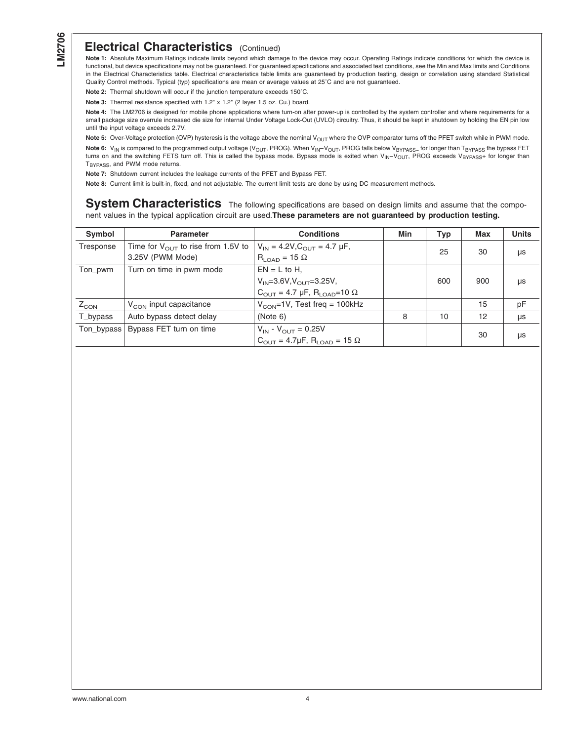#### <span id="page-3-0"></span>**Electrical Characteristics** (Continued)

**Note 1:** Absolute Maximum Ratings indicate limits beyond which damage to the device may occur. Operating Ratings indicate conditions for which the device is functional, but device specifications may not be guaranteed. For guaranteed specifications and associated test conditions, see the Min and Max limits and Conditions in the Electrical Characteristics table. Electrical characteristics table limits are guaranteed by production testing, design or correlation using standard Statistical Quality Control methods. Typical (typ) specifications are mean or average values at 25˚C and are not guaranteed.

**Note 2:** Thermal shutdown will occur if the junction temperature exceeds 150˚C.

**Note 3:** Thermal resistance specified with 1.2" x 1.2" (2 layer 1.5 oz. Cu.) board.

**Note 4:** The LM2706 is designed for mobile phone applications where turn-on after power-up is controlled by the system controller and where requirements for a small package size overrule increased die size for internal Under Voltage Lock-Out (UVLO) circuitry. Thus, it should be kept in shutdown by holding the EN pin low until the input voltage exceeds 2.7V.

Note 5: Over-Voltage protection (OVP) hysteresis is the voltage above the nominal V<sub>OUT</sub> where the OVP comparator turns off the PFET switch while in PWM mode. Note 6: V<sub>IN</sub> is compared to the programmed output voltage (V<sub>OUT</sub>, PROG). When V<sub>IN</sub>–V<sub>OUT</sub>, PROG falls below V<sub>BYPASS</sub><sub>−</sub> for longer than T<sub>BYPASS</sub> the bypass FET turns on and the switching FETS turn off. This is called the bypass mode. Bypass mode is exited when  $V_{\text{IN}}-V_{\text{OUT}}$ , PROG exceeds VBYPASS+ for longer than T<sub>BYPASS</sub>, and PWM mode returns.

**Note 7:** Shutdown current includes the leakage currents of the PFET and Bypass FET.

**Note 8:** Current limit is built-in, fixed, and not adjustable. The current limit tests are done by using DC measurement methods.

**System Characteristics** The following specifications are based on design limits and assume that the component values in the typical application circuit are used.**These parameters are not guaranteed by production testing.**

| Symbol     | <b>Parameter</b>                               | <b>Conditions</b>                                              | Min | Typ | Max | <b>Units</b> |
|------------|------------------------------------------------|----------------------------------------------------------------|-----|-----|-----|--------------|
| Tresponse  | Time for $V_{\text{OUT}}$ to rise from 1.5V to | $V_{IN} = 4.2V$ , $C_{OUIT} = 4.7 \mu F$ ,                     |     | 25  | 30  |              |
|            | 3.25V (PWM Mode)                               | $R_{LOAD} = 15 \Omega$                                         |     |     |     | μs           |
| Ton_pwm    | Turn on time in pwm mode                       | $EN = L$ to H.                                                 |     |     |     |              |
|            |                                                | $V_{IN} = 3.6 V, V_{OII} = 3.25 V,$                            |     | 600 | 900 | μs           |
|            |                                                | $C_{\text{OUT}} = 4.7 \mu F$ , R <sub>LOAD</sub> =10 $\Omega$  |     |     |     |              |
| $Z_{CON}$  | V <sub>CON</sub> input capacitance             | $V_{\rm CON}$ =1V, Test freq = 100kHz                          |     |     | 15  | рF           |
| T_bypass   | Auto bypass detect delay                       | (Note 6)                                                       | 8   | 10  | 12  | μs           |
| Ton_bypass | Bypass FET turn on time                        | $V_{IN} - V_{OUT} = 0.25V$                                     |     |     | 30  |              |
|            |                                                | $C_{\text{OUT}} = 4.7 \mu F$ , R <sub>LOAD</sub> = 15 $\Omega$ |     |     |     | μs           |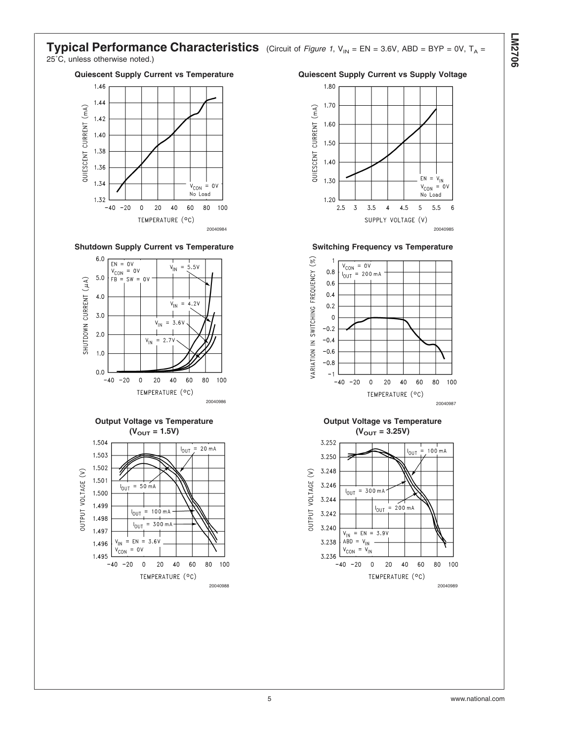#### **Typical Performance Characteristics** (Circuit of *[Figure 1](#page-8-0)*,  $V_{IN} = EN = 3.6V$ , ABD = BYP = 0V, T<sub>A</sub> = 25˚C, unless otherwise noted.)















**Output Voltage vs Temperature**  $(V_{OUT} = 3.25V)$ 

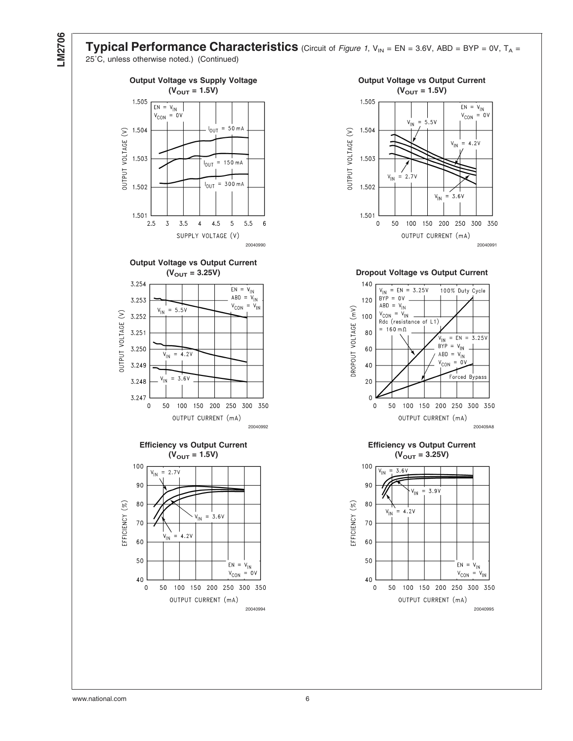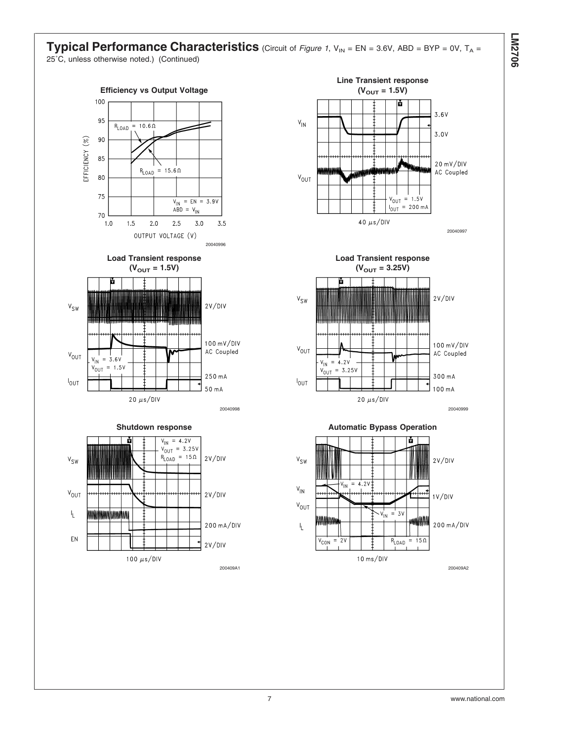#### **Typical Performance Characteristics** (Circuit of *[Figure 1](#page-8-0)*,  $V_{IN} = EN = 3.6V$ , ABD = BYP = 0V, T<sub>A</sub> = 25˚C, unless otherwise noted.) (Continued)

















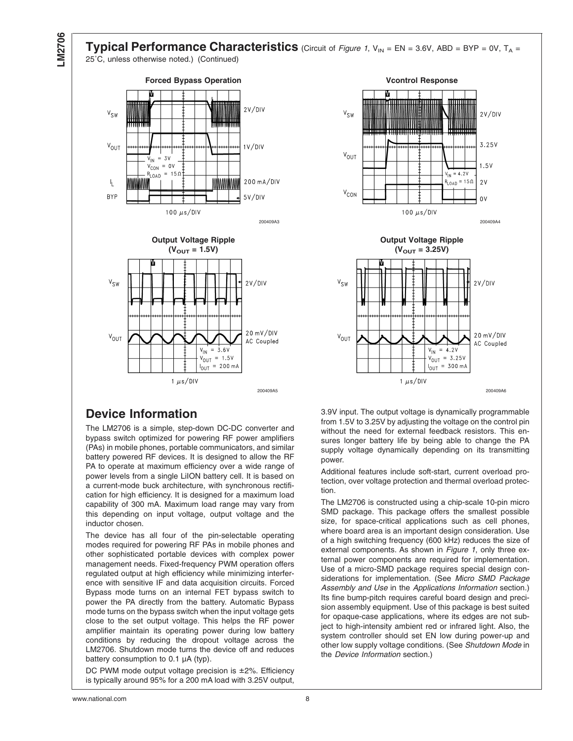**Typical Performance Characteristics** (Circuit of *[Figure 1](#page-8-0)*,  $V_{IN} = EN = 3.6V$ , ABD = BYP = 0V,  $T_A =$ 25˚C, unless otherwise noted.) (Continued)









### **Device Information**

The LM2706 is a simple, step-down DC-DC converter and bypass switch optimized for powering RF power amplifiers (PAs) in mobile phones, portable communicators, and similar battery powered RF devices. It is designed to allow the RF PA to operate at maximum efficiency over a wide range of power levels from a single LiION battery cell. It is based on a current-mode buck architecture, with synchronous rectification for high efficiency. It is designed for a maximum load capability of 300 mA. Maximum load range may vary from this depending on input voltage, output voltage and the inductor chosen.

The device has all four of the pin-selectable operating modes required for powering RF PAs in mobile phones and other sophisticated portable devices with complex power management needs. Fixed-frequency PWM operation offers regulated output at high efficiency while minimizing interference with sensitive IF and data acquisition circuits. Forced Bypass mode turns on an internal FET bypass switch to power the PA directly from the battery. Automatic Bypass mode turns on the bypass switch when the input voltage gets close to the set output voltage. This helps the RF power amplifier maintain its operating power during low battery conditions by reducing the dropout voltage across the LM2706. Shutdown mode turns the device off and reduces battery consumption to 0.1 µA (typ).

DC PWM mode output voltage precision is ±2%. Efficiency is typically around 95% for a 200 mA load with 3.25V output,

3.9V input. The output voltage is dynamically programmable from 1.5V to 3.25V by adjusting the voltage on the control pin without the need for external feedback resistors. This ensures longer battery life by being able to change the PA supply voltage dynamically depending on its transmitting power.

Additional features include soft-start, current overload protection, over voltage protection and thermal overload protection.

The LM2706 is constructed using a chip-scale 10-pin micro SMD package. This package offers the smallest possible size, for space-critical applications such as cell phones, where board area is an important design consideration. Use of a high switching frequency (600 kHz) reduces the size of external components. As shown in *[Figure 1](#page-8-0)*, only three external power components are required for implementation. Use of a micro-SMD package requires special design considerations for implementation. (See *Micro SMD Package Assembly and Use* in the *Applications Information* section.) Its fine bump-pitch requires careful board design and precision assembly equipment. Use of this package is best suited for opaque-case applications, where its edges are not subject to high-intensity ambient red or infrared light. Also, the system controller should set EN low during power-up and other low supply voltage conditions. (See *Shutdown Mode* in the *Device Information* section.)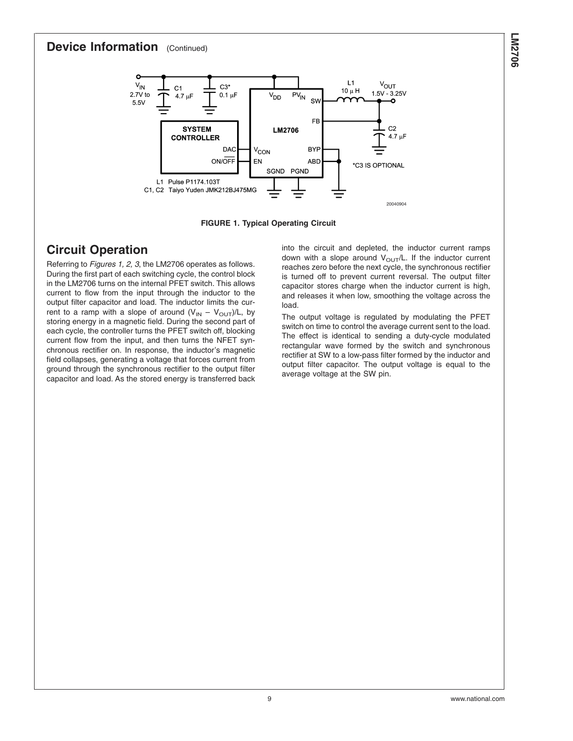#### <span id="page-8-0"></span>**Device Information** (Continued)



**FIGURE 1. Typical Operating Circuit**

### **Circuit Operation**

Referring to *Figures 1, [2, 3](#page-9-0)*, the LM2706 operates as follows. During the first part of each switching cycle, the control block in the LM2706 turns on the internal PFET switch. This allows current to flow from the input through the inductor to the output filter capacitor and load. The inductor limits the current to a ramp with a slope of around  $(V_{IN} - V_{OUT})/L$ , by storing energy in a magnetic field. During the second part of each cycle, the controller turns the PFET switch off, blocking current flow from the input, and then turns the NFET synchronous rectifier on. In response, the inductor's magnetic field collapses, generating a voltage that forces current from ground through the synchronous rectifier to the output filter capacitor and load. As the stored energy is transferred back into the circuit and depleted, the inductor current ramps down with a slope around  $V_{\text{OUT}}/L$ . If the inductor current reaches zero before the next cycle, the synchronous rectifier is turned off to prevent current reversal. The output filter capacitor stores charge when the inductor current is high, and releases it when low, smoothing the voltage across the load.

The output voltage is regulated by modulating the PFET switch on time to control the average current sent to the load. The effect is identical to sending a duty-cycle modulated rectangular wave formed by the switch and synchronous rectifier at SW to a low-pass filter formed by the inductor and output filter capacitor. The output voltage is equal to the average voltage at the SW pin.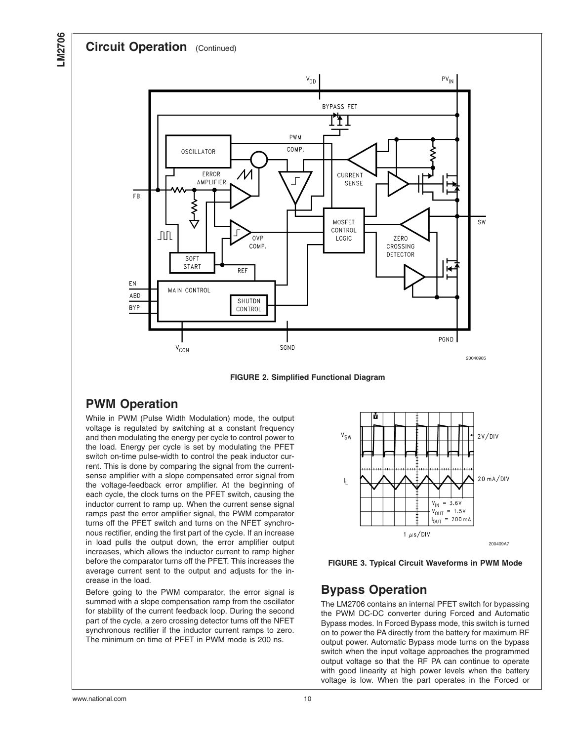#### <span id="page-9-0"></span>**Circuit Operation** (Continued)



**FIGURE 2. Simplified Functional Diagram**

#### **PWM Operation**

While in PWM (Pulse Width Modulation) mode, the output voltage is regulated by switching at a constant frequency and then modulating the energy per cycle to control power to the load. Energy per cycle is set by modulating the PFET switch on-time pulse-width to control the peak inductor current. This is done by comparing the signal from the currentsense amplifier with a slope compensated error signal from the voltage-feedback error amplifier. At the beginning of each cycle, the clock turns on the PFET switch, causing the inductor current to ramp up. When the current sense signal ramps past the error amplifier signal, the PWM comparator turns off the PFET switch and turns on the NFET synchronous rectifier, ending the first part of the cycle. If an increase in load pulls the output down, the error amplifier output increases, which allows the inductor current to ramp higher before the comparator turns off the PFET. This increases the average current sent to the output and adjusts for the increase in the load.

Before going to the PWM comparator, the error signal is summed with a slope compensation ramp from the oscillator for stability of the current feedback loop. During the second part of the cycle, a zero crossing detector turns off the NFET synchronous rectifier if the inductor current ramps to zero. The minimum on time of PFET in PWM mode is 200 ns.



**FIGURE 3. Typical Circuit Waveforms in PWM Mode**

#### **Bypass Operation**

The LM2706 contains an internal PFET switch for bypassing the PWM DC-DC converter during Forced and Automatic Bypass modes. In Forced Bypass mode, this switch is turned on to power the PA directly from the battery for maximum RF output power. Automatic Bypass mode turns on the bypass switch when the input voltage approaches the programmed output voltage so that the RF PA can continue to operate with good linearity at high power levels when the battery voltage is low. When the part operates in the Forced or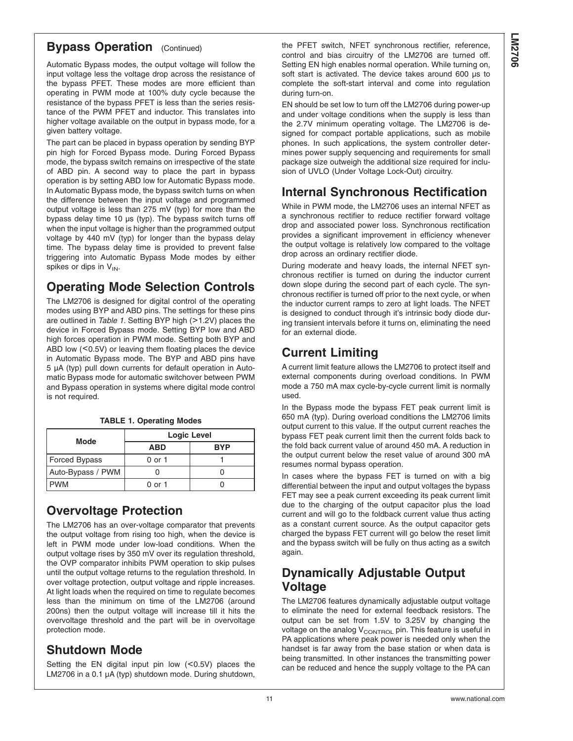### <span id="page-10-0"></span>**Bypass Operation** (Continued)

Automatic Bypass modes, the output voltage will follow the input voltage less the voltage drop across the resistance of the bypass PFET. These modes are more efficient than operating in PWM mode at 100% duty cycle because the resistance of the bypass PFET is less than the series resistance of the PWM PFET and inductor. This translates into higher voltage available on the output in bypass mode, for a given battery voltage.

The part can be placed in bypass operation by sending BYP pin high for Forced Bypass mode. During Forced Bypass mode, the bypass switch remains on irrespective of the state of ABD pin. A second way to place the part in bypass operation is by setting ABD low for Automatic Bypass mode. In Automatic Bypass mode, the bypass switch turns on when the difference between the input voltage and programmed output voltage is less than 275 mV (typ) for more than the bypass delay time 10 µs (typ). The bypass switch turns off when the input voltage is higher than the programmed output voltage by 440 mV (typ) for longer than the bypass delay time. The bypass delay time is provided to prevent false triggering into Automatic Bypass Mode modes by either spikes or dips in  $V_{IN}$ .

# **Operating Mode Selection Controls**

The LM2706 is designed for digital control of the operating modes using BYP and ABD pins. The settings for these pins are outlined in *Table 1*. Setting BYP high (>1.2V) places the device in Forced Bypass mode. Setting BYP low and ABD high forces operation in PWM mode. Setting both BYP and ABD low (<0.5V) or leaving them floating places the device in Automatic Bypass mode. The BYP and ABD pins have 5 µA (typ) pull down currents for default operation in Automatic Bypass mode for automatic switchover between PWM and Bypass operation in systems where digital mode control is not required.

|  | TABLE 1. Operating Modes |  |
|--|--------------------------|--|

| Mode              | <b>Logic Level</b> |            |  |
|-------------------|--------------------|------------|--|
|                   | ABD                | <b>BYP</b> |  |
| Forced Bypass     | 0 or 1             |            |  |
| Auto-Bypass / PWM |                    |            |  |
| <b>PWM</b>        | 0 or 1             |            |  |

### **Overvoltage Protection**

The LM2706 has an over-voltage comparator that prevents the output voltage from rising too high, when the device is left in PWM mode under low-load conditions. When the output voltage rises by 350 mV over its regulation threshold, the OVP comparator inhibits PWM operation to skip pulses until the output voltage returns to the regulation threshold. In over voltage protection, output voltage and ripple increases. At light loads when the required on time to regulate becomes less than the minimum on time of the LM2706 (around 200ns) then the output voltage will increase till it hits the overvoltage threshold and the part will be in overvoltage protection mode.

### **Shutdown Mode**

Setting the  $EN$  digital input pin low  $(<0.5V)$  places the LM2706 in a 0.1 µA (typ) shutdown mode. During shutdown, the PFET switch, NFET synchronous rectifier, reference, control and bias circuitry of the LM2706 are turned off. Setting EN high enables normal operation. While turning on, soft start is activated. The device takes around 600 µs to complete the soft-start interval and come into regulation during turn-on.

EN should be set low to turn off the LM2706 during power-up and under voltage conditions when the supply is less than the 2.7V minimum operating voltage. The LM2706 is designed for compact portable applications, such as mobile phones. In such applications, the system controller determines power supply sequencing and requirements for small package size outweigh the additional size required for inclusion of UVLO (Under Voltage Lock-Out) circuitry.

# **Internal Synchronous Rectification**

While in PWM mode, the LM2706 uses an internal NFET as a synchronous rectifier to reduce rectifier forward voltage drop and associated power loss. Synchronous rectification provides a significant improvement in efficiency whenever the output voltage is relatively low compared to the voltage drop across an ordinary rectifier diode.

During moderate and heavy loads, the internal NFET synchronous rectifier is turned on during the inductor current down slope during the second part of each cycle. The synchronous rectifier is turned off prior to the next cycle, or when the inductor current ramps to zero at light loads. The NFET is designed to conduct through it's intrinsic body diode during transient intervals before it turns on, eliminating the need for an external diode.

# **Current Limiting**

A current limit feature allows the LM2706 to protect itself and external components during overload conditions. In PWM mode a 750 mA max cycle-by-cycle current limit is normally used.

In the Bypass mode the bypass FET peak current limit is 650 mA (typ). During overload conditions the LM2706 limits output current to this value. If the output current reaches the bypass FET peak current limit then the current folds back to the fold back current value of around 450 mA. A reduction in the output current below the reset value of around 300 mA resumes normal bypass operation.

In cases where the bypass FET is turned on with a big differential between the input and output voltages the bypass FET may see a peak current exceeding its peak current limit due to the charging of the output capacitor plus the load current and will go to the foldback current value thus acting as a constant current source. As the output capacitor gets charged the bypass FET current will go below the reset limit and the bypass switch will be fully on thus acting as a switch again.

### **Dynamically Adjustable Output Voltage**

The LM2706 features dynamically adjustable output voltage to eliminate the need for external feedback resistors. The output can be set from 1.5V to 3.25V by changing the voltage on the analog  $V_{\text{CONTROL}}$  pin. This feature is useful in PA applications where peak power is needed only when the handset is far away from the base station or when data is being transmitted. In other instances the transmitting power can be reduced and hence the supply voltage to the PA can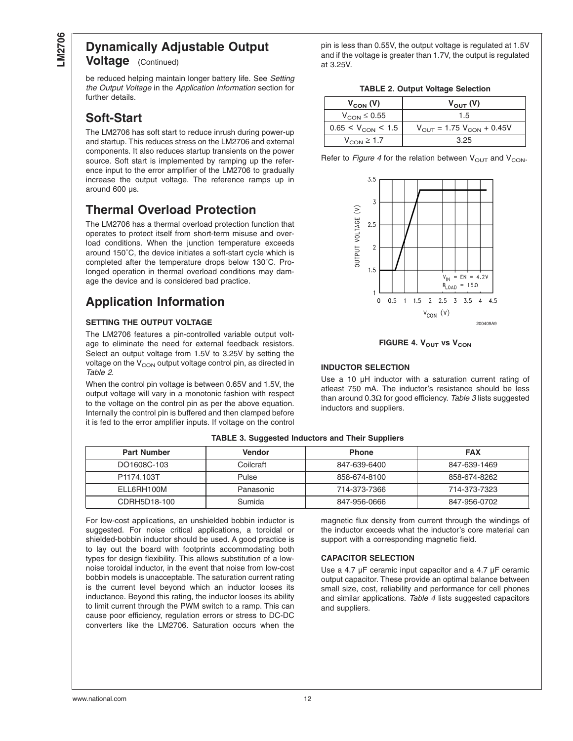# **Dynamically Adjustable Output**

**Voltage** (Continued)

be reduced helping maintain longer battery life. See *Setting the Output Voltage* in the *Application Information* section for further details.

### **Soft-Start**

The LM2706 has soft start to reduce inrush during power-up and startup. This reduces stress on the LM2706 and external components. It also reduces startup transients on the power source. Soft start is implemented by ramping up the reference input to the error amplifier of the LM2706 to gradually increase the output voltage. The reference ramps up in around 600 µs.

# **Thermal Overload Protection**

The LM2706 has a thermal overload protection function that operates to protect itself from short-term misuse and overload conditions. When the junction temperature exceeds around 150˚C, the device initiates a soft-start cycle which is completed after the temperature drops below 130˚C. Prolonged operation in thermal overload conditions may damage the device and is considered bad practice.

# **Application Information**

#### **SETTING THE OUTPUT VOLTAGE**

The LM2706 features a pin-controlled variable output voltage to eliminate the need for external feedback resistors. Select an output voltage from 1.5V to 3.25V by setting the voltage on the  $V_{\rm CON}$  output voltage control pin, as directed in *Table 2*.

When the control pin voltage is between 0.65V and 1.5V, the output voltage will vary in a monotonic fashion with respect to the voltage on the control pin as per the above equation. Internally the control pin is buffered and then clamped before it is fed to the error amplifier inputs. If voltage on the control

pin is less than 0.55V, the output voltage is regulated at 1.5V and if the voltage is greater than 1.7V, the output is regulated at 3.25V.

|  |  |  | <b>TABLE 2. Output Voltage Selection</b> |
|--|--|--|------------------------------------------|
|--|--|--|------------------------------------------|

| $V_{COM}$ (V)                 | $V_{\text{out}}(V)$                            |
|-------------------------------|------------------------------------------------|
| $V_{\text{CON}} \leq 0.55$    | 1.5                                            |
| $0.65 < V_{\text{CON}} < 1.5$ | $V_{\text{OUT}} = 1.75 V_{\text{CON}} + 0.45V$ |
| $V_{\text{CON}} \geq 1.7$     | 3.25                                           |

Refer to *Figure 4* for the relation between  $V_{\text{OUT}}$  and  $V_{\text{CON}}$ .



**FIGURE 4. V<sub>OUT</sub> vs V<sub>CON</sub>** 

#### **INDUCTOR SELECTION**

Use a 10 µH inductor with a saturation current rating of atleast 750 mA. The inductor's resistance should be less than around 0.3Ω for good efficiency. *Table 3* lists suggested inductors and suppliers.

| <b>Part Number</b> | <b>Vendor</b> | <b>Phone</b> | <b>FAX</b>   |
|--------------------|---------------|--------------|--------------|
| DO1608C-103        | Coilcraft     | 847-639-6400 | 847-639-1469 |
| P1174.103T         | Pulse         | 858-674-8100 | 858-674-8262 |
| ELL6RH100M         | Panasonic     | 714-373-7366 | 714-373-7323 |
| CDRH5D18-100       | Sumida        | 847-956-0666 | 847-956-0702 |

**TABLE 3. Suggested Inductors and Their Suppliers**

For low-cost applications, an unshielded bobbin inductor is suggested. For noise critical applications, a toroidal or shielded-bobbin inductor should be used. A good practice is to lay out the board with footprints accommodating both types for design flexibility. This allows substitution of a lownoise toroidal inductor, in the event that noise from low-cost bobbin models is unacceptable. The saturation current rating is the current level beyond which an inductor looses its inductance. Beyond this rating, the inductor looses its ability to limit current through the PWM switch to a ramp. This can cause poor efficiency, regulation errors or stress to DC-DC converters like the LM2706. Saturation occurs when the

magnetic flux density from current through the windings of the inductor exceeds what the inductor's core material can support with a corresponding magnetic field.

#### **CAPACITOR SELECTION**

Use a 4.7 µF ceramic input capacitor and a 4.7 µF ceramic output capacitor. These provide an optimal balance between small size, cost, reliability and performance for cell phones and similar applications. *[Table 4](#page-12-0)* lists suggested capacitors and suppliers.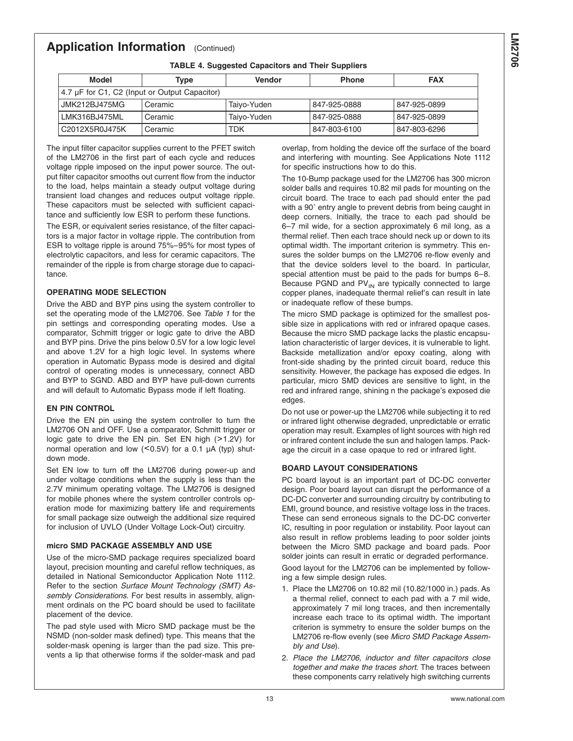#### <span id="page-12-0"></span>**Application Information** (Continued)

**TABLE 4. Suggested Capacitors and Their Suppliers**

| Model                                         | Type    | <b>Vendor</b> | <b>Phone</b> | <b>FAX</b>   |
|-----------------------------------------------|---------|---------------|--------------|--------------|
| 4.7 µF for C1, C2 (Input or Output Capacitor) |         |               |              |              |
| <b>JMK212BJ475MG</b>                          | Ceramic | Taiyo-Yuden   | 847-925-0888 | 847-925-0899 |
| LMK316BJ475ML                                 | Ceramic | Taiyo-Yuden   | 847-925-0888 | 847-925-0899 |
| C2012X5R0J475K                                | Ceramic | TDK           | 847-803-6100 | 847-803-6296 |

The input filter capacitor supplies current to the PFET switch of the LM2706 in the first part of each cycle and reduces voltage ripple imposed on the input power source. The output filter capacitor smooths out current flow from the inductor to the load, helps maintain a steady output voltage during transient load changes and reduces output voltage ripple. These capacitors must be selected with sufficient capacitance and sufficiently low ESR to perform these functions.

The ESR, or equivalent series resistance, of the filter capacitors is a major factor in voltage ripple. The contribution from ESR to voltage ripple is around 75%–95% for most types of electrolytic capacitors, and less for ceramic capacitors. The remainder of the ripple is from charge storage due to capacitance.

#### **OPERATING MODE SELECTION**

Drive the ABD and BYP pins using the system controller to set the operating mode of the LM2706. See *[Table 1](#page-10-0)* for the pin settings and corresponding operating modes. Use a comparator, Schmitt trigger or logic gate to drive the ABD and BYP pins. Drive the pins below 0.5V for a low logic level and above 1.2V for a high logic level. In systems where operation in Automatic Bypass mode is desired and digital control of operating modes is unnecessary, connect ABD and BYP to SGND. ABD and BYP have pull-down currents and will default to Automatic Bypass mode if left floating.

#### **EN PIN CONTROL**

Drive the EN pin using the system controller to turn the LM2706 ON and OFF. Use a comparator, Schmitt trigger or logic gate to drive the EN pin. Set EN high (>1.2V) for normal operation and low  $(<0.5V$ ) for a 0.1  $\mu$ A (typ) shutdown mode.

Set EN low to turn off the LM2706 during power-up and under voltage conditions when the supply is less than the 2.7V minimum operating voltage. The LM2706 is designed for mobile phones where the system controller controls operation mode for maximizing battery life and requirements for small package size outweigh the additional size required for inclusion of UVLO (Under Voltage Lock-Out) circuitry.

#### **micro SMD PACKAGE ASSEMBLY AND USE**

Use of the micro-SMD package requires specialized board layout, precision mounting and careful reflow techniques, as detailed in National Semiconductor Application Note 1112. Refer to the section *Surface Mount Technology (SMT) Assembly Considerations*. For best results in assembly, alignment ordinals on the PC board should be used to facilitate placement of the device.

The pad style used with Micro SMD package must be the NSMD (non-solder mask defined) type. This means that the solder-mask opening is larger than the pad size. This prevents a lip that otherwise forms if the solder-mask and pad

overlap, from holding the device off the surface of the board and interfering with mounting. See Applications Note 1112 for specific instructions how to do this.

The 10-Bump package used for the LM2706 has 300 micron solder balls and requires 10.82 mil pads for mounting on the circuit board. The trace to each pad should enter the pad with a 90˚ entry angle to prevent debris from being caught in deep corners. Initially, the trace to each pad should be 6–7 mil wide, for a section approximately 6 mil long, as a thermal relief. Then each trace should neck up or down to its optimal width. The important criterion is symmetry. This ensures the solder bumps on the LM2706 re-flow evenly and that the device solders level to the board. In particular, special attention must be paid to the pads for bumps 6–8. Because PGND and  $PV_{IN}$  are typically connected to large copper planes, inadequate thermal relief's can result in late or inadequate reflow of these bumps.

The micro SMD package is optimized for the smallest possible size in applications with red or infrared opaque cases. Because the micro SMD package lacks the plastic encapsulation characteristic of larger devices, it is vulnerable to light. Backside metallization and/or epoxy coating, along with front-side shading by the printed circuit board, reduce this sensitivity. However, the package has exposed die edges. In particular, micro SMD devices are sensitive to light, in the red and infrared range, shining n the package's exposed die edges.

Do not use or power-up the LM2706 while subjecting it to red or infrared light otherwise degraded, unpredictable or erratic operation may result. Examples of light sources with high red or infrared content include the sun and halogen lamps. Package the circuit in a case opaque to red or infrared light.

#### **BOARD LAYOUT CONSIDERATIONS**

PC board layout is an important part of DC-DC converter design. Poor board layout can disrupt the performance of a DC-DC converter and surrounding circuitry by contributing to EMI, ground bounce, and resistive voltage loss in the traces. These can send erroneous signals to the DC-DC converter IC, resulting in poor regulation or instability. Poor layout can also result in reflow problems leading to poor solder joints between the Micro SMD package and board pads. Poor solder joints can result in erratic or degraded performance. Good layout for the LM2706 can be implemented by following a few simple design rules.

- 1. Place the LM2706 on 10.82 mil (10.82/1000 in.) pads. As a thermal relief, connect to each pad with a 7 mil wide, approximately 7 mil long traces, and then incrementally increase each trace to its optimal width. The important criterion is symmetry to ensure the solder bumps on the LM2706 re-flow evenly (see *Micro SMD Package Assembly and Use*).
- 2. *Place the LM2706, inductor and filter capacitors close together and make the traces short.* The traces between these components carry relatively high switching currents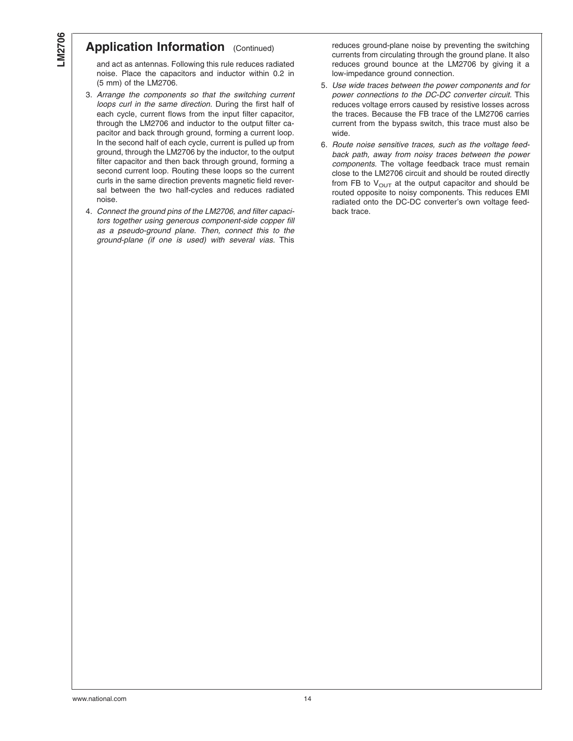#### **Application Information** (Continued)

and act as antennas. Following this rule reduces radiated noise. Place the capacitors and inductor within 0.2 in (5 mm) of the LM2706.

- 3. *Arrange the components so that the switching current loops curl in the same direction.* During the first half of each cycle, current flows from the input filter capacitor, through the LM2706 and inductor to the output filter capacitor and back through ground, forming a current loop. In the second half of each cycle, current is pulled up from ground, through the LM2706 by the inductor, to the output filter capacitor and then back through ground, forming a second current loop. Routing these loops so the current curls in the same direction prevents magnetic field reversal between the two half-cycles and reduces radiated noise.
- 4. *Connect the ground pins of the LM2706, and filter capacitors together using generous component-side copper fill as a pseudo-ground plane. Then, connect this to the ground-plane (if one is used) with several vias.* This

reduces ground-plane noise by preventing the switching currents from circulating through the ground plane. It also reduces ground bounce at the LM2706 by giving it a low-impedance ground connection.

- 5. *Use wide traces between the power components and for power connections to the DC-DC converter circuit.* This reduces voltage errors caused by resistive losses across the traces. Because the FB trace of the LM2706 carries current from the bypass switch, this trace must also be wide.
- 6. *Route noise sensitive traces, such as the voltage feedback path, away from noisy traces between the power components.* The voltage feedback trace must remain close to the LM2706 circuit and should be routed directly from FB to  $V_{\text{OUT}}$  at the output capacitor and should be routed opposite to noisy components. This reduces EMI radiated onto the DC-DC converter's own voltage feedback trace.